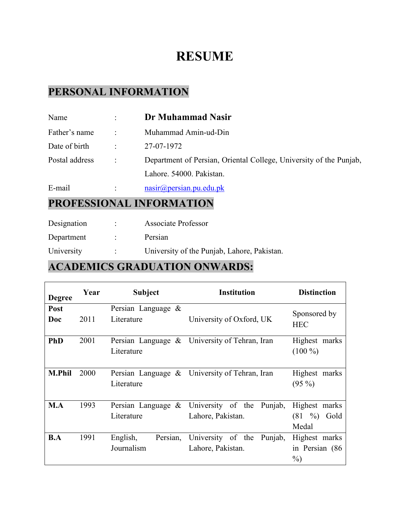# **RESUME**

### **PERSONAL INFORMATION**

| Name           |                      | Dr Muhammad Nasir                                                  |
|----------------|----------------------|--------------------------------------------------------------------|
| Father's name  | ÷                    | Muhammad Amin-ud-Din                                               |
| Date of birth  | $\ddot{\phantom{0}}$ | 27-07-1972                                                         |
| Postal address |                      | Department of Persian, Oriental College, University of the Punjab, |
|                |                      | Lahore. 54000. Pakistan.                                           |
| E-mail         | ÷                    | $nasin(\omega)$ persian.pu.edu.pk                                  |

### **PROFESSIONAL INFORMATION**

ř.

| Designation | <b>Associate Professor</b>                  |
|-------------|---------------------------------------------|
| Department  | Persian                                     |
| University  | University of the Punjab, Lahore, Pakistan. |

### **ACADEMICS GRADUATION ONWARDS:**

| <b>Degree</b> | Year | Subject               | <b>Institution</b>                            | <b>Distinction</b> |
|---------------|------|-----------------------|-----------------------------------------------|--------------------|
| Post          |      | Persian Language &    |                                               | Sponsored by       |
| Doc           | 2011 | Literature            | University of Oxford, UK                      | <b>HEC</b>         |
| <b>PhD</b>    | 2001 |                       | Persian Language & University of Tehran, Iran | Highest marks      |
|               |      | Literature            |                                               | $(100\%)$          |
| <b>M.Phil</b> | 2000 | Persian Language $\&$ | University of Tehran, Iran                    | Highest marks      |
|               |      | Literature            |                                               | $(95\%)$           |
| M.A           | 1993 | Persian Language $\&$ | University of the<br>Punjab,                  | Highest marks      |
|               |      | Literature            | Lahore, Pakistan.                             | $(81 \t%)$<br>Gold |
|               |      |                       |                                               | Medal              |
| B.A           | 1991 | English,<br>Persian,  | University of the<br>Punjab,                  | Highest marks      |
|               |      | Journalism            | Lahore, Pakistan.                             | in Persian (86     |
|               |      |                       |                                               | $\%$ )             |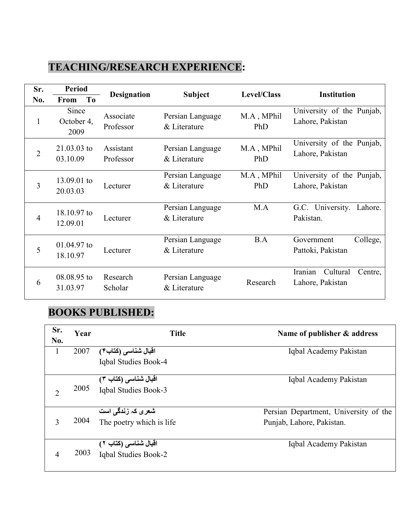### **TEACHING/RESEARCH EXPERIENCE:**

| Sr.            | <b>Period</b>               |                        |                                  | Level/Class       | <b>Institution</b>                                 |
|----------------|-----------------------------|------------------------|----------------------------------|-------------------|----------------------------------------------------|
| No.            | To<br><b>From</b>           | <b>Designation</b>     | <b>Subject</b>                   |                   |                                                    |
| $\mathbf{1}$   | Since<br>October 4,<br>2009 | Associate<br>Professor | Persian Language<br>& Literature | M.A, MPhil<br>PhD | University of the Punjab,<br>Lahore, Pakistan      |
| $\overline{2}$ | $21.03.03$ to<br>03.10.09   | Assistant<br>Professor | Persian Language<br>& Literature | M.A, MPhil<br>PhD | University of the Punjab,<br>Lahore, Pakistan      |
| 3              | 13.09.01 to<br>20.03.03     | Lecturer               | Persian Language<br>& Literature | M.A, MPhil<br>PhD | University of the Punjab,<br>Lahore, Pakistan      |
| $\overline{4}$ | 18.10.97 to<br>12.09.01     | Lecturer               | Persian Language<br>& Literature | M.A               | G.C. University.<br>Lahore.<br>Pakistan.           |
| 5              | 01.04.97 to<br>18.10.97     | Lecturer               | Persian Language<br>& Literature | B.A               | College,<br>Government<br>Pattoki, Pakistan        |
| 6              | 08.08.95 to<br>31.03.97     | Research<br>Scholar    | Persian Language<br>& Literature | Research          | Iranian<br>Cultural<br>Centre,<br>Lahore, Pakistan |

# **BOOKS PUBLISHED:**

| Sr.<br>No.     | Year | <b>Title</b>             | Name of publisher & address           |
|----------------|------|--------------------------|---------------------------------------|
| $\mathbf{1}$   | 2007 | اقبال شناسي (كتاب۴)      | Iqbal Academy Pakistan                |
|                |      | Iqbal Studies Book-4     |                                       |
|                |      | اقبال شناسی (کتاب ۳)     | Iqbal Academy Pakistan                |
| $\overline{2}$ | 2005 | Iqbal Studies Book-3     |                                       |
|                |      | شعری کہ زندگی است        | Persian Department, University of the |
| 3              | 2004 | The poetry which is life | Punjab, Lahore, Pakistan.             |
|                |      | اقبال شناسی (کتاب ۲)     | Iqbal Academy Pakistan                |
| 4              | 2003 | Iqbal Studies Book-2     |                                       |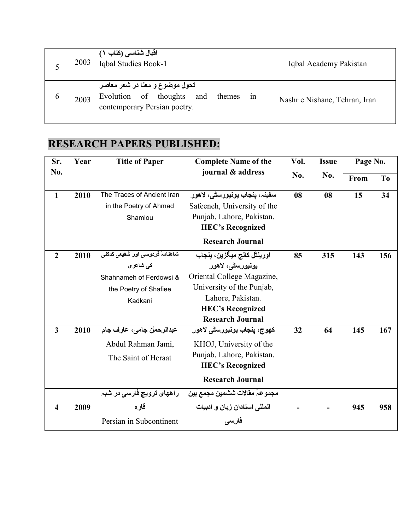|             | 2003 | اقبال شناسي (كتاب ١)<br>Iqbal Studies Book-1                                                                | Iqbal Academy Pakistan        |
|-------------|------|-------------------------------------------------------------------------------------------------------------|-------------------------------|
| $\mathbf b$ | 2003 | تحول موضوع و معنا در شعر معاصر<br>Evolution of thoughts and<br>themes<br>1n<br>contemporary Persian poetry. | Nashr e Nishane, Tehran, Iran |

# **RESEARCH PAPERS PUBLISHED:**

| Sr.                     | Year | <b>Title of Paper</b>                                                                                      | <b>Complete Name of the</b>                                                                                                                                                          | Vol. | Page No.<br><b>Issue</b> |      |                |
|-------------------------|------|------------------------------------------------------------------------------------------------------------|--------------------------------------------------------------------------------------------------------------------------------------------------------------------------------------|------|--------------------------|------|----------------|
| No.                     |      |                                                                                                            | journal & address                                                                                                                                                                    | No.  | No.                      | From | T <sub>o</sub> |
| $\mathbf{1}$            | 2010 | The Traces of Ancient Iran<br>in the Poetry of Ahmad<br>Shamlou                                            | سفينہ، ينجاب يونيورسٹي، لاهور<br>Safeeneh, University of the<br>Punjab, Lahore, Pakistan.<br><b>HEC's Recognized</b><br><b>Research Journal</b>                                      | 08   | 08                       | 15   | 34             |
| $\overline{2}$          | 2010 | شاهنامۂ فردوسی اور شفیعی کدکنی<br>کی شاعر ی<br>Shahnameh of Ferdowsi &<br>the Poetry of Shafiee<br>Kadkani | اورينٿل کالج ميگزين، پنجاب<br>يونيورسڻي، لاهور<br>Oriental College Magazine,<br>University of the Punjab,<br>Lahore, Pakistan.<br><b>HEC's Recognized</b><br><b>Research Journal</b> | 85   | 315                      | 143  | 156            |
| $\overline{\mathbf{3}}$ | 2010 | عبدالرحمل جامي، عارف جام<br>Abdul Rahman Jami,<br>The Saint of Heraat                                      | کھوج، پنجاب يونيورسڻ <i>ی</i> لاهور<br>KHOJ, University of the<br>Punjab, Lahore, Pakistan.<br><b>HEC's Recognized</b><br><b>Research Journal</b>                                    | 32   | 64                       | 145  | 167            |
| 4                       | 2009 | راههای ترویج فارسی در شبہ<br>قاره<br>Persian in Subcontinent                                               | مجموعہَ مقالات ششمین مجمع بین<br>المللي استادان زبان و ادبيات<br>فارسى                                                                                                               |      |                          | 945  | 958            |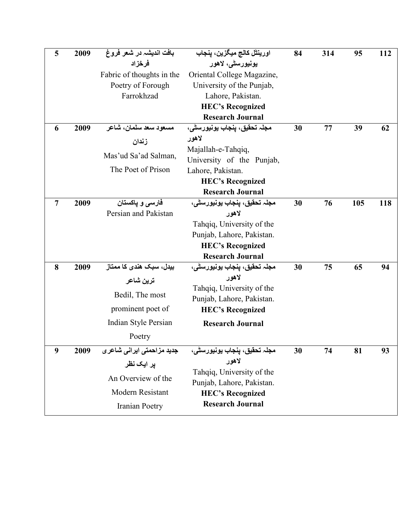| 5              | 2009 | بافت انديشہ در شعر فروغ    | اورينڻل کالج ميگزين، پنجاب                             | 84 | 314 | 95  | 112 |
|----------------|------|----------------------------|--------------------------------------------------------|----|-----|-----|-----|
|                |      | فرخزاد                     | يونيورسڻي، لاهور                                       |    |     |     |     |
|                |      | Fabric of thoughts in the  | Oriental College Magazine,                             |    |     |     |     |
|                |      | Poetry of Forough          | University of the Punjab,                              |    |     |     |     |
|                |      | Farrokhzad                 | Lahore, Pakistan.                                      |    |     |     |     |
|                |      |                            | <b>HEC's Recognized</b>                                |    |     |     |     |
|                |      |                            | <b>Research Journal</b>                                |    |     |     |     |
| 6              | 2009 | مسعود سعد سلمان، شاعر      | مجلہ تحقیق، پنجاب یونیورسٹی،                           | 30 | 77  | 39  | 62  |
|                |      | زندان                      | لاهور                                                  |    |     |     |     |
|                |      | Mas'ud Sa'ad Salman,       | Majallah-e-Tahqiq,                                     |    |     |     |     |
|                |      | The Poet of Prison         | University of the Punjab,                              |    |     |     |     |
|                |      |                            | Lahore, Pakistan.                                      |    |     |     |     |
|                |      |                            | <b>HEC's Recognized</b><br><b>Research Journal</b>     |    |     |     |     |
| $\overline{7}$ | 2009 | فارسي و ياكستان            | مجلہ تحقيق، ينجاب يونيورسٹي،                           | 30 | 76  | 105 |     |
|                |      | Persian and Pakistan       | لاهور                                                  |    |     |     | 118 |
|                |      |                            | Tahqiq, University of the                              |    |     |     |     |
|                |      |                            | Punjab, Lahore, Pakistan.                              |    |     |     |     |
|                |      |                            | <b>HEC's Recognized</b>                                |    |     |     |     |
|                |      |                            | <b>Research Journal</b>                                |    |     |     |     |
| 8              | 2009 | بیدل، سبک هندی کا ممتاز    | مجلہ تحقیق، ینجاب یونیورسٹی،                           | 30 | 75  | 65  | 94  |
|                |      | ترين شاعر                  | لاهور                                                  |    |     |     |     |
|                |      |                            | Tahqiq, University of the                              |    |     |     |     |
|                |      | Bedil, The most            | Punjab, Lahore, Pakistan.                              |    |     |     |     |
|                |      | prominent poet of          | <b>HEC's Recognized</b>                                |    |     |     |     |
|                |      | Indian Style Persian       | <b>Research Journal</b>                                |    |     |     |     |
|                |      | Poetry                     |                                                        |    |     |     |     |
| 9              | 2009 | جدید مزاحمتی ایرانی شاعر ی | مجلہ تحقیق، پنجاب یونیورسٹی،                           | 30 | 74  | 81  | 93  |
|                |      | یر ایک نظر                 | لاهور                                                  |    |     |     |     |
|                |      | An Overview of the         | Tahqiq, University of the<br>Punjab, Lahore, Pakistan. |    |     |     |     |
|                |      | Modern Resistant           | <b>HEC's Recognized</b>                                |    |     |     |     |
|                |      |                            | <b>Research Journal</b>                                |    |     |     |     |
|                |      | Iranian Poetry             |                                                        |    |     |     |     |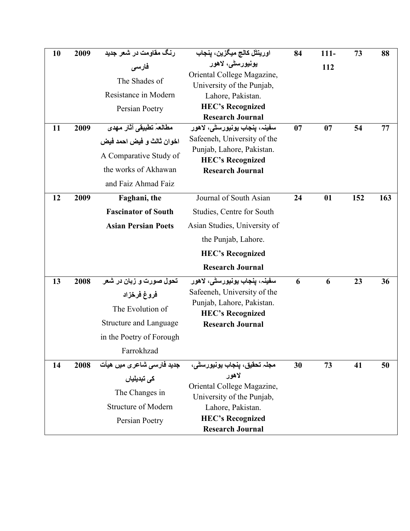| 10 | 2009 | رنگ مقاومت در شعر جدید                    | اورينٿل کالج ميگزين، پنجاب                              | 84 | $111 -$ | 73  | 88  |
|----|------|-------------------------------------------|---------------------------------------------------------|----|---------|-----|-----|
|    |      | فارسى                                     | يونيورسڻي، لاهور                                        |    | 112     |     |     |
|    |      | The Shades of                             | Oriental College Magazine,                              |    |         |     |     |
|    |      | Resistance in Modern                      | University of the Punjab,<br>Lahore, Pakistan.          |    |         |     |     |
|    |      | Persian Poetry                            | <b>HEC's Recognized</b>                                 |    |         |     |     |
|    |      |                                           | <b>Research Journal</b>                                 |    |         |     |     |
| 11 | 2009 | مطالعۂ تطبیقی آثار مهدی                   | سفينہ، پنجاب يونيورسٹی، لاهور                           | 07 | 07      | 54  | 77  |
|    |      | اخوان ثالث و فيض احمد فيض                 | Safeeneh, University of the                             |    |         |     |     |
|    |      | A Comparative Study of                    | Punjab, Lahore, Pakistan.                               |    |         |     |     |
|    |      | the works of Akhawan                      | <b>HEC's Recognized</b><br><b>Research Journal</b>      |    |         |     |     |
|    |      | and Faiz Ahmad Faiz                       |                                                         |    |         |     |     |
|    |      |                                           |                                                         |    |         |     |     |
| 12 | 2009 | Faghani, the                              | Journal of South Asian                                  | 24 | 01      | 152 | 163 |
|    |      | <b>Fascinator of South</b>                | Studies, Centre for South                               |    |         |     |     |
|    |      | <b>Asian Persian Poets</b>                | Asian Studies, University of                            |    |         |     |     |
|    |      |                                           | the Punjab, Lahore.                                     |    |         |     |     |
|    |      |                                           | <b>HEC's Recognized</b>                                 |    |         |     |     |
|    |      |                                           | <b>Research Journal</b>                                 |    |         |     |     |
| 13 | 2008 | تحول صورت و زبان در شعر                   | سفینہ، پنجاب یونیورسٹ <i>ی</i> ، لاھور                  | 6  | 6       | 23  | 36  |
|    |      | فروغ فرخزاد                               | Safeeneh, University of the                             |    |         |     |     |
|    |      | The Evolution of                          | Punjab, Lahore, Pakistan.                               |    |         |     |     |
|    |      | <b>Structure and Language</b>             | <b>HEC's Recognized</b>                                 |    |         |     |     |
|    |      |                                           | <b>Research Journal</b>                                 |    |         |     |     |
|    |      | in the Poetry of Forough                  |                                                         |    |         |     |     |
|    |      | Farrokhzad                                |                                                         |    |         |     |     |
| 14 | 2008 | جدید فارس <i>ی</i> شاعر <i>ی</i> میں هیأت | مجلہ تحقیق، پنجاب یونیورسٹی،                            | 30 | 73      | 41  | 50  |
|    |      | کی تبدیلیاں                               | لاهور                                                   |    |         |     |     |
|    |      | The Changes in                            | Oriental College Magazine,<br>University of the Punjab, |    |         |     |     |
|    |      | <b>Structure of Modern</b>                | Lahore, Pakistan.                                       |    |         |     |     |
|    |      | Persian Poetry                            | <b>HEC's Recognized</b>                                 |    |         |     |     |
|    |      |                                           | <b>Research Journal</b>                                 |    |         |     |     |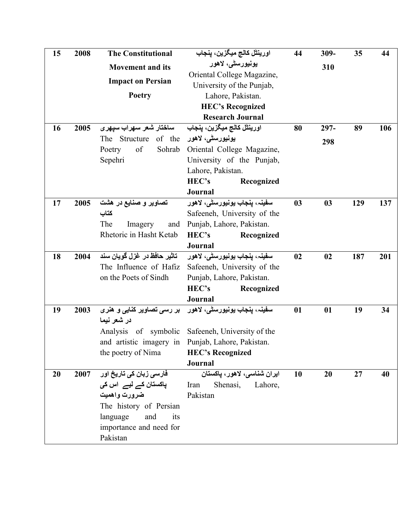| 15 | 2008 | <b>The Constitutional</b>                                       | اورينڻل کالج ميگزين، پنجاب                                                   | 44 | 309-    | 35  | 44  |
|----|------|-----------------------------------------------------------------|------------------------------------------------------------------------------|----|---------|-----|-----|
|    |      | <b>Movement and its</b>                                         | يونيورسڻي، لاهور                                                             |    | 310     |     |     |
|    |      | <b>Impact on Persian</b>                                        | Oriental College Magazine,                                                   |    |         |     |     |
|    |      |                                                                 | University of the Punjab,                                                    |    |         |     |     |
|    |      | <b>Poetry</b>                                                   | Lahore, Pakistan.                                                            |    |         |     |     |
|    |      |                                                                 | <b>HEC's Recognized</b><br><b>Research Journal</b>                           |    |         |     |     |
| 16 | 2005 |                                                                 | اورينٿل کالج ميگزين، پنجاب                                                   | 80 | $297 -$ | 89  | 106 |
|    |      | ساختار شعر سهراب سپهری<br>يونيورسڻي، لاهور The Structure of the |                                                                              |    |         |     |     |
|    |      | of<br>Poetry                                                    | Sohrab Oriental College Magazine,                                            |    | 298     |     |     |
|    |      | Sepehri                                                         | University of the Punjab,                                                    |    |         |     |     |
|    |      |                                                                 | Lahore, Pakistan.                                                            |    |         |     |     |
|    |      |                                                                 | HEC's<br>Recognized                                                          |    |         |     |     |
|    |      |                                                                 | <b>Journal</b>                                                               |    |         |     |     |
| 17 | 2005 | تصاویر و صنایع در هشت                                           | سفينہ، ينجاب يونيورسٹي، لاهور                                                | 03 | 03      | 129 | 137 |
|    |      | كتاب                                                            | Safeeneh, University of the                                                  |    |         |     |     |
|    |      | The<br>Imagery<br>and                                           | Punjab, Lahore, Pakistan.                                                    |    |         |     |     |
|    |      | Rhetoric in Hasht Ketab                                         | HEC's<br>Recognized                                                          |    |         |     |     |
|    |      |                                                                 | Journal                                                                      |    |         |     |     |
| 18 | 2004 | تاثير حافظ در غزل گويان سند                                     | سفینہ، پنجاب یونیورس <del>ٹی</del> ، لاھور                                   | 02 | 02      | 187 | 201 |
|    |      | The Influence of Hafiz                                          | Safeeneh, University of the                                                  |    |         |     |     |
|    |      | on the Poets of Sindh                                           | Punjab, Lahore, Pakistan.                                                    |    |         |     |     |
|    |      |                                                                 | HEC's<br>Recognized                                                          |    |         |     |     |
|    |      |                                                                 | <b>Journal</b>                                                               |    |         |     |     |
| 19 | 2003 | بر رسی تصاویر کنایی و هنری                                      | سفينہ، ينجاب يونيورسٹی، لاهور                                                | 01 | 01      | 19  | 34  |
|    |      | در شعر نیما                                                     |                                                                              |    |         |     |     |
|    |      | Analysis of symbolic                                            | Safeeneh, University of the                                                  |    |         |     |     |
|    |      | the poetry of Nima                                              | and artistic imagery in Punjab, Lahore, Pakistan.<br><b>HEC's Recognized</b> |    |         |     |     |
|    |      |                                                                 | Journal                                                                      |    |         |     |     |
| 20 | 2007 | فارسی زبان کی تاریخ اور                                         | ايران شناسي، لاهور، پاكستان                                                  | 10 | 20      | 27  | 40  |
|    |      | پاکستان کے لیے  اس کی                                           | Iran<br>Shenasi, Lahore,                                                     |    |         |     |     |
|    |      | ضرورت واهميت                                                    | Pakistan                                                                     |    |         |     |     |
|    |      | The history of Persian                                          |                                                                              |    |         |     |     |
|    |      | language<br>and<br>its                                          |                                                                              |    |         |     |     |
|    |      | importance and need for                                         |                                                                              |    |         |     |     |
|    |      | Pakistan                                                        |                                                                              |    |         |     |     |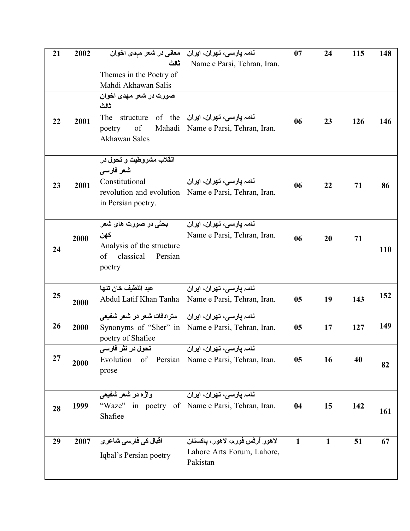| 21 | 2002 | نامہ پارسی، تھران، ایران۔ معانی در شعر مہدی اخوان       |                                                  | 07           | 24           | 115 | 148        |
|----|------|---------------------------------------------------------|--------------------------------------------------|--------------|--------------|-----|------------|
|    |      | ثالث                                                    | Name e Parsi, Tehran, Iran.                      |              |              |     |            |
|    |      | Themes in the Poetry of<br>Mahdi Akhawan Salis          |                                                  |              |              |     |            |
|    |      | صورت در شعر مهدی اخوان                                  |                                                  |              |              |     |            |
|    |      | ثالث                                                    |                                                  |              |              |     |            |
| 22 | 2001 | The                                                     | نامہ پارسی، تھران، ایران  structure  of   the    | 06           | 23           | 126 | 146        |
|    |      | of<br>poetry                                            | Mahadi Name e Parsi, Tehran, Iran.               |              |              |     |            |
|    |      | Akhawan Sales                                           |                                                  |              |              |     |            |
|    |      | انقلاب مشروطیت و تحول در                                |                                                  |              |              |     |            |
|    |      | شعر فارسي                                               |                                                  |              |              |     |            |
| 23 | 2001 | Constitutional                                          | نامہ یارسی، تھران، ایران                         | 06           | 22           | 71  | 86         |
|    |      | revolution and evolution<br>in Persian poetry.          | Name e Parsi, Tehran, Iran.                      |              |              |     |            |
|    |      |                                                         |                                                  |              |              |     |            |
|    |      | بحثی در صورت های شعر                                    | نـامہ پارسـی، تـهران، ايران <del>آ</del>         |              |              |     |            |
|    | 2000 | كهن                                                     | Name e Parsi, Tehran, Iran.                      | 06           | 20           | 71  |            |
| 24 |      | Analysis of the structure<br>of<br>classical<br>Persian |                                                  |              |              |     | <b>110</b> |
|    |      | poetry                                                  |                                                  |              |              |     |            |
|    |      |                                                         |                                                  |              |              |     |            |
| 25 |      | عبد اللطيف خان تنها                                     | نامہ پارسی، تھران، ایران                         |              |              |     | 152        |
|    | 2000 | Abdul Latif Khan Tanha                                  | Name e Parsi, Tehran, Iran.                      | 05           | 19           | 143 |            |
|    |      | مترادفات شعر در شعر شفیعی                               | نامہ پارسی، تھران، ایران                         |              |              |     |            |
| 26 | 2000 | Synonyms of "Sher" in                                   | Name e Parsi, Tehran, Iran.                      | 05           | 17           | 127 | 149        |
|    |      | poetry of Shafiee<br>تحول در نثر فا <i>رسی</i>          | نامہ پارسی، تھران، ایران                         |              |              |     |            |
| 27 |      |                                                         | Evolution of Persian Name e Parsi, Tehran, Iran. | 05           | 16           | 40  |            |
|    | 2000 | prose                                                   |                                                  |              |              |     | 82         |
|    |      |                                                         |                                                  |              |              |     |            |
|    |      | واژه در شعر شفیعی                                       | نامہ یارسی، تھران، ایران                         |              |              |     |            |
| 28 | 1999 |                                                         | "Waze" in poetry of Name e Parsi, Tehran, Iran.  | 04           | 15           | 142 | 161        |
|    |      | Shafiee                                                 |                                                  |              |              |     |            |
| 29 | 2007 | اقبال کی فارسی شاعر <i>ی</i>                            | لاهور آرٹس فورم، لاهور، پاکستان                  | $\mathbf{1}$ | $\mathbf{1}$ | 51  | 67         |
|    |      | Iqbal's Persian poetry                                  | Lahore Arts Forum, Lahore,                       |              |              |     |            |
|    |      |                                                         |                                                  |              |              |     |            |
|    |      |                                                         | Pakistan                                         |              |              |     |            |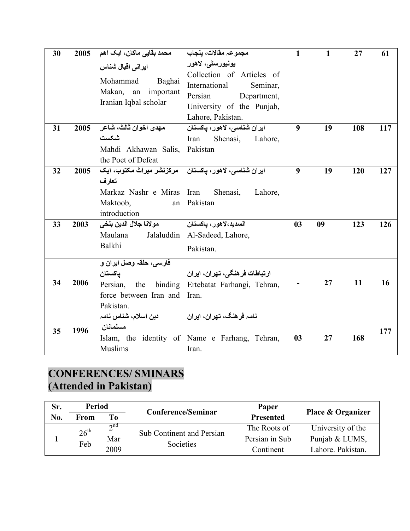| 30 | 2005 | محمد بقايي ماكان، ايک اهم                                                                                                    | مجموعہ مقالات، ينجاب                                                                                                              | $\mathbf{1}$   | 1  | 27  | 61  |
|----|------|------------------------------------------------------------------------------------------------------------------------------|-----------------------------------------------------------------------------------------------------------------------------------|----------------|----|-----|-----|
|    |      | ایرانی اقبال شناس<br>Mohammad<br>Baghai<br>Makan,<br>important<br>an<br>Iranian Iqbal scholar                                | يونيورسڻي، لاهور<br>Collection of Articles of<br>International<br>Seminar,<br>Persian<br>Department,<br>University of the Punjab, |                |    |     |     |
|    |      |                                                                                                                              | Lahore, Pakistan.                                                                                                                 |                |    |     |     |
| 31 | 2005 | مهدي اخوان ثالث، شاعر<br>شكست<br>Mahdi Akhawan Salis,<br>the Poet of Defeat                                                  | ايران شناسي، لاهور، پاكستان<br>Shenasi,<br>Iran<br>Lahore,<br>Pakistan                                                            | 9              | 19 | 108 | 117 |
| 32 | 2005 | ایران شناسی، لاهور، یاکستان مرکزنشر میراث مکتوب، ایک<br>تعارف<br>Markaz Nashr e Miras Iran<br>Maktoob,<br>an<br>introduction | Shenasi,<br>Lahore,<br>Pakistan                                                                                                   | 9              | 19 | 120 | 127 |
| 33 | 2003 | مولانا جلال الدين بلخي<br>Maulana<br>Balkhi                                                                                  | السديد،لاهور، پاکستا <i>ن</i><br>Jalaluddin Al-Sadeed, Lahore,<br>Pakistan.                                                       | 0 <sub>3</sub> | 09 | 123 | 126 |
| 34 | 2006 | فارسی، حلقہ وصل ایران و<br>ياكستان<br>force between Iran and<br>Pakistan.                                                    | ارتباطات فرهنگی، تهران، ایران<br>Persian, the binding Ertebatat Farhangi, Tehran,<br>Iran.                                        |                | 27 | 11  | 16  |
| 35 | 1996 | دين اسلام، شناس نامہ<br>مسلمانان<br><b>Muslims</b>                                                                           | <u>نامہ فرهنگ، تهران، ایران</u><br>Islam, the identity of Name e Farhang, Tehran,<br>Iran.                                        | 03             | 27 | 168 | 177 |

### **CONFERENCES/ SMINARS (Attended in Pakistan)**

| Sr. | Period                  |             | Conference/Seminar        | Paper            | <b>Place &amp; Organizer</b> |  |
|-----|-------------------------|-------------|---------------------------|------------------|------------------------------|--|
| No. | From                    | To          |                           | <b>Presented</b> |                              |  |
|     | $26^{\text{th}}$<br>Feb | $\gamma$ nd | Sub Continent and Persian | The Roots of     | University of the            |  |
|     |                         | Mar         | Societies                 | Persian in Sub   | Punjab & LUMS,               |  |
|     |                         | 2009        |                           | Continent        | Lahore, Pakistan.            |  |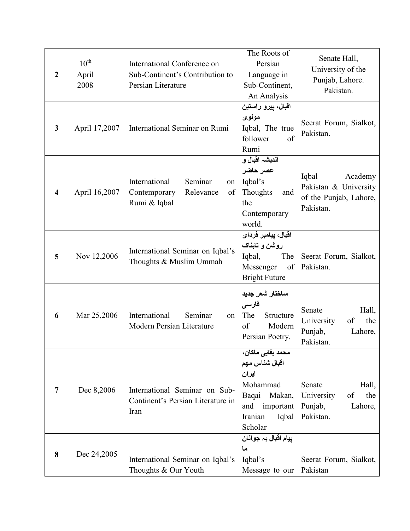| $\boldsymbol{2}$ | $10^{\text{th}}$<br>April<br>2008 | International Conference on<br>Sub-Continent's Contribution to<br>Persian Literature | The Roots of<br>Persian<br>Language in<br>Sub-Continent,<br>An Analysis                                                        | Senate Hall,<br>University of the<br>Punjab, Lahore.<br>Pakistan.                |  |
|------------------|-----------------------------------|--------------------------------------------------------------------------------------|--------------------------------------------------------------------------------------------------------------------------------|----------------------------------------------------------------------------------|--|
| 3                | April 17,2007                     | International Seminar on Rumi                                                        | اقبال، پیرو راستین<br>مولوی<br>Iqbal, The true<br>follower<br>of<br>Rumi                                                       | Seerat Forum, Sialkot,<br>Pakistan.                                              |  |
| $\boldsymbol{4}$ | April 16,2007                     | International<br>Seminar<br>on<br>Contemporary<br>Relevance<br>of<br>Rumi & Iqbal    | انديشہ اقبال و<br>عصر حاضر<br>Iqbal's<br>Thoughts<br>and<br>the<br>Contemporary<br>world.                                      | Iqbal<br>Academy<br>Pakistan & University<br>of the Punjab, Lahore,<br>Pakistan. |  |
| 5                | Nov 12,2006                       | International Seminar on Iqbal's<br>Thoughts & Muslim Ummah                          | اقبال، پيامبر فرداى<br>روشن و تابناک<br>Iqbal,<br>The<br>of<br>Messenger<br><b>Bright Future</b>                               | Seerat Forum, Sialkot,<br>Pakistan.                                              |  |
| 6                | Mar 25,2006                       | International<br>Seminar<br>on<br>Modern Persian Literature                          | ساختار شعر جديد<br>فارسى<br>The<br>Structure<br>of<br>Modern<br>Persian Poetry.                                                | Senate<br>Hall,<br>University<br>the<br>of<br>Punjab,<br>Lahore,<br>Pakistan.    |  |
| 7                | Dec 8,2006                        | International Seminar on Sub-<br>Continent's Persian Literature in<br>Iran           | محمد بقايي ماكان،<br>اقبال شناس مهم<br>ایران<br>Mohammad<br>Baqai<br>Makan,<br>and<br>important<br>Iqbal<br>Iranian<br>Scholar | Senate<br>Hall,<br>University<br>of<br>the<br>Punjab,<br>Lahore,<br>Pakistan.    |  |
| 8                | Dec 24,2005                       | International Seminar on Iqbal's<br>Thoughts & Our Youth                             | پيام اقبال بہ جوانان<br>ما<br>Iqbal's<br>Message to our                                                                        | Seerat Forum, Sialkot,<br>Pakistan                                               |  |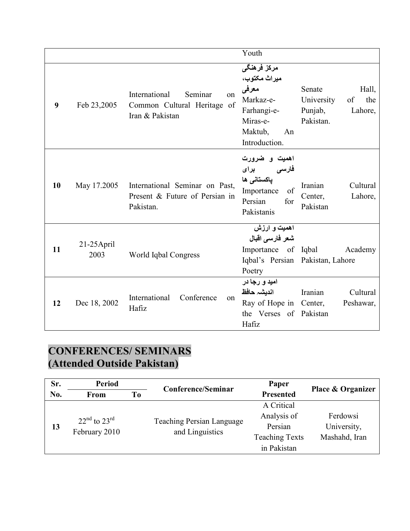|    |                       |                                                                                  | Youth                                                                                                          |                                                                               |
|----|-----------------------|----------------------------------------------------------------------------------|----------------------------------------------------------------------------------------------------------------|-------------------------------------------------------------------------------|
| 9  | Feb 23,2005           | International<br>Seminar<br>on<br>Common Cultural Heritage of<br>Iran & Pakistan | مرکز فرهنگی<br>ميراث مكتوب،<br>معرفى<br>Markaz-e-<br>Farhangi-e-<br>Miras-e-<br>Maktub,<br>An<br>Introduction. | Senate<br>Hall,<br>University<br>the<br>of<br>Punjab,<br>Lahore,<br>Pakistan. |
| 10 | May 17.2005           | International Seminar on Past,<br>Present & Future of Persian in<br>Pakistan.    | اهمیت و ضرورت<br>فارسی برای<br>پاکستان <i>ی</i> ها<br>of<br>Importance<br>Persian<br>for<br>Pakistanis         | Iranian<br>Cultural<br>Lahore,<br>Center,<br>Pakistan                         |
| 11 | $21-25$ April<br>2003 | World Iqbal Congress                                                             | اهمیت و ارزش<br>شعر فارسى اقبال<br>Importance of Iqbal<br>Poetry                                               | Academy<br>Iqbal's Persian Pakistan, Lahore                                   |
| 12 | Dec 18, 2002          | International<br>Conference<br>on<br>Hafiz                                       | امید و رجا در<br>انديشہ حافظ<br>Ray of Hope in Center,<br>the Verses of Pakistan<br>Hafiz                      | Iranian<br>Cultural<br>Peshawar,                                              |

# **CONFERENCES/ SEMINARS (Attended Outside Pakistan)**

| Sr. | <b>Period</b><br>To<br><b>From</b> |  | <b>Conference/Seminar</b>        | Paper                 | Place & Organizer |  |
|-----|------------------------------------|--|----------------------------------|-----------------------|-------------------|--|
| No. |                                    |  |                                  | <b>Presented</b>      |                   |  |
|     |                                    |  |                                  | A Critical            |                   |  |
|     | $22nd$ to $23rd$                   |  | <b>Teaching Persian Language</b> | Analysis of           | Ferdowsi          |  |
| 13  | February 2010                      |  | and Linguistics                  | Persian               | University,       |  |
|     |                                    |  |                                  | <b>Teaching Texts</b> | Mashahd, Iran     |  |
|     |                                    |  |                                  | in Pakistan           |                   |  |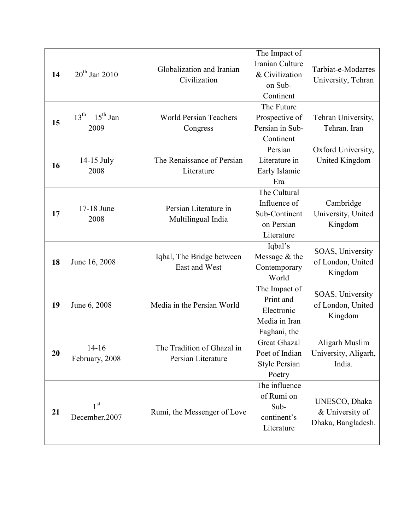|    |                                   |                                                  | The Impact of                                                                           |                                                        |
|----|-----------------------------------|--------------------------------------------------|-----------------------------------------------------------------------------------------|--------------------------------------------------------|
| 14 | $20th$ Jan 2010                   | Globalization and Iranian<br>Civilization        | Iranian Culture<br>& Civilization<br>on Sub-<br>Continent                               | Tarbiat-e-Modarres<br>University, Tehran               |
| 15 | $13^{th} - 15^{th}$ Jan<br>2009   | <b>World Persian Teachers</b><br>Congress        | The Future<br>Prospective of<br>Persian in Sub-<br>Continent                            | Tehran University,<br>Tehran. Iran                     |
| 16 | 14-15 July<br>2008                | The Renaissance of Persian<br>Literature         | Persian<br>Literature in<br>Early Islamic<br>Era                                        | Oxford University,<br><b>United Kingdom</b>            |
| 17 | 17-18 June<br>2008                | Persian Literature in<br>Multilingual India      | The Cultural<br>Influence of<br>Sub-Continent<br>on Persian<br>Literature               | Cambridge<br>University, United<br>Kingdom             |
| 18 | June 16, 2008                     | Iqbal, The Bridge between<br>East and West       | Iqbal's<br>Message & the<br>Contemporary<br>World                                       | SOAS, University<br>of London, United<br>Kingdom       |
| 19 | June 6, 2008                      | Media in the Persian World                       | The Impact of<br>Print and<br>Electronic<br>Media in Iran                               | SOAS. University<br>of London, United<br>Kingdom       |
| 20 | $14-16$<br>February, 2008         | The Tradition of Ghazal in<br>Persian Literature | Faghani, the<br><b>Great Ghazal</b><br>Poet of Indian<br><b>Style Persian</b><br>Poetry | Aligarh Muslim<br>University, Aligarh,<br>India.       |
| 21 | 1 <sup>st</sup><br>December, 2007 | Rumi, the Messenger of Love                      | The influence<br>of Rumi on<br>Sub-<br>continent's<br>Literature                        | UNESCO, Dhaka<br>& University of<br>Dhaka, Bangladesh. |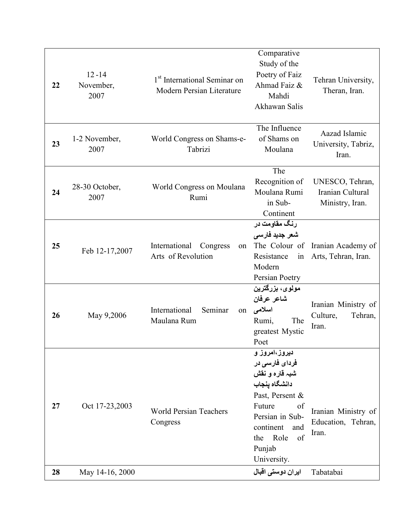| 22       | $12 - 14$<br>November,<br>2007    | 1 <sup>st</sup> International Seminar on<br>Modern Persian Literature | Comparative<br>Study of the<br>Poetry of Faiz<br>Ahmad Faiz &<br>Mahdi<br>Akhawan Salis                                                                                                                         | Tehran University,<br>Theran, Iran.                             |
|----------|-----------------------------------|-----------------------------------------------------------------------|-----------------------------------------------------------------------------------------------------------------------------------------------------------------------------------------------------------------|-----------------------------------------------------------------|
| 23       | 1-2 November,<br>2007             | World Congress on Shams-e-<br>Tabrizi                                 | The Influence<br>of Shams on<br>Moulana                                                                                                                                                                         | Aazad Islamic<br>University, Tabriz,<br>Iran.                   |
| 24       | 28-30 October,<br>2007            | World Congress on Moulana<br>Rumi                                     | The<br>Recognition of<br>Moulana Rumi<br>in Sub-<br>Continent                                                                                                                                                   | UNESCO, Tehran,<br>Iranian Cultural<br>Ministry, Iran.          |
| 25       | Feb 12-17,2007                    | International<br>Congress<br>on<br>Arts of Revolution                 | رنگ مقاومت در<br>شعر جديد فارسى<br>The Colour of<br>Resistance<br>in<br>Modern<br>Persian Poetry                                                                                                                | Iranian Academy of<br>Arts, Tehran, Iran.                       |
| 26       | May 9,2006                        | International<br>Seminar<br>on<br>Maulana Rum                         | مولوی، بزرگترین<br>شاعر عرفان<br>اسلامى<br>Rumi,<br>The<br>greatest Mystic<br>Poet                                                                                                                              | Iranian Ministry of<br>Culture,<br>Tehran,<br>Iran.             |
| 27<br>28 | Oct 17-23,2003<br>May 14-16, 2000 | <b>World Persian Teachers</b><br>Congress                             | دیروز،امروز و<br>فردای فارسی در<br>شبہ قارہ و نقش<br>دانشگاه ينجاب<br>Past, Persent &<br>Future<br>of<br>Persian in Sub-<br>continent<br>and<br>Role<br>of<br>the<br>Punjab<br>University.<br>ایران دوستی اقبال | Iranian Ministry of<br>Education, Tehran,<br>Iran.<br>Tabatabai |
|          |                                   |                                                                       |                                                                                                                                                                                                                 |                                                                 |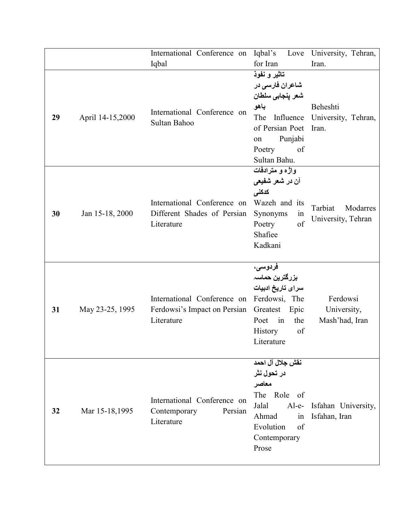|    |                  | International Conference on                                                             | Iqbal's                                                                                                                                             | Love University, Tehran,                  |
|----|------------------|-----------------------------------------------------------------------------------------|-----------------------------------------------------------------------------------------------------------------------------------------------------|-------------------------------------------|
|    |                  | Iqbal                                                                                   | for Iran                                                                                                                                            | Iran.                                     |
| 29 | April 14-15,2000 | International Conference on<br>Sultan Bahoo                                             | تاثير و نفوذ<br>شاعران فارسی در<br>شعر ينجابي سلطان<br>باهو<br>The<br>Influence<br>of Persian Poet<br>Punjabi<br>on<br>Poetry<br>of<br>Sultan Bahu. | Beheshti<br>University, Tehran,<br>Iran.  |
| 30 | Jan 15-18, 2000  | International Conference on<br>Different Shades of Persian<br>Literature                | واژه و مترادفات<br>آن در شعر شفیع <i>ی</i><br>كدكنى<br>Wazeh and its<br>Synonyms<br>1n<br>of<br>Poetry<br>Shafiee<br>Kadkani                        | Tarbiat<br>Modarres<br>University, Tehran |
| 31 | May 23-25, 1995  | International Conference on Ferdowsi, The<br>Ferdowsi's Impact on Persian<br>Literature | فردوسی،<br>بزرگترین حماسہ<br>سراى تاريخ ادبيات<br>Greatest Epic<br>in<br>the<br>Poet<br><b>History</b><br>of<br>Literature                          | Ferdowsi<br>University,<br>Mash'had, Iran |
| 32 | Mar 15-18,1995   | International Conference on<br>Persian<br>Contemporary<br>Literature                    | نقش جلال آل احمد<br>در تحول نثر<br>معاصر<br>The Role of<br>$Al-e-$<br>Jalal<br>Ahmad<br>in<br>Evolution<br>of<br>Contemporary<br>Prose              | Isfahan University,<br>Isfahan, Iran      |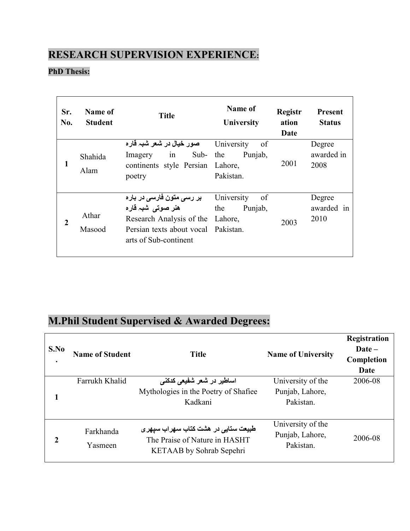### **RESEARCH SUPERVISION EXPERIENCE:**

#### **PhD Thesis:**

| Sr.<br>No.   | Name of<br><b>Student</b> | <b>Title</b>                                                                                                                                               | Name of<br>University                               | <b>Registr</b><br>ation<br>Date | <b>Present</b><br><b>Status</b> |
|--------------|---------------------------|------------------------------------------------------------------------------------------------------------------------------------------------------------|-----------------------------------------------------|---------------------------------|---------------------------------|
| 1            | Shahida<br>Alam           | صور خيال در شعر شبہ قار ه<br>Sub- the<br>in<br>Imagery<br>continents style Persian<br>poetry                                                               | University<br>of<br>Punjab,<br>Lahore,<br>Pakistan. | 2001                            | Degree<br>awarded in<br>2008    |
| $\mathbf{2}$ | Athar<br>Masood           | بر رس <i>ی</i> متون فارس <i>ی</i> در باره<br>ھنر صوتی شبہ قارہ<br>Research Analysis of the<br>Persian texts about vocal Pakistan.<br>arts of Sub-continent | University<br>of<br>the<br>Punjab,<br>Lahore,       | 2003                            | Degree<br>awarded in<br>2010    |

# **M.Phil Student Supervised & Awarded Degrees:**

| S.No<br>٠ | <b>Name of Student</b> | <b>Title</b>                                                                                                             | <b>Name of University</b>                         | Registration<br>$\bf{Date}$ –<br>Completion<br>Date |
|-----------|------------------------|--------------------------------------------------------------------------------------------------------------------------|---------------------------------------------------|-----------------------------------------------------|
|           | Farrukh Khalid         | اساطیر در شعر شفیعی کدکن <i>ی</i><br>Mythologies in the Poetry of Shafiee<br>Kadkani                                     | University of the<br>Punjab, Lahore,<br>Pakistan. | 2006-08                                             |
| 2         | Farkhanda<br>Yasmeen   | طبیعت ستای <i>ی</i> در هشت کتاب سهراب سپه <i>ر ی</i><br>The Praise of Nature in HASHT<br><b>KETAAB</b> by Sohrab Sepehri | University of the<br>Punjab, Lahore,<br>Pakistan. | 2006-08                                             |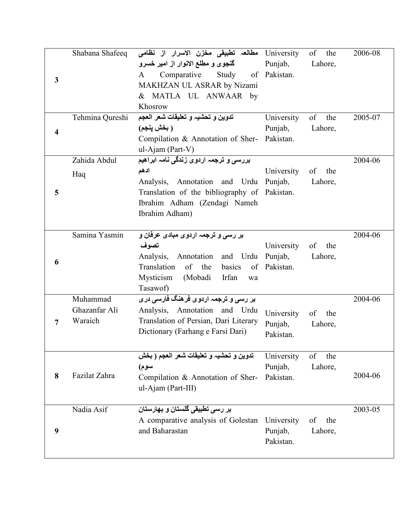|   |                 | University مطالعہ تطبیقی مخزن الاسرار از نظامی Shabana Shafeeq |                       | of the    | 2006-08 |
|---|-----------------|----------------------------------------------------------------|-----------------------|-----------|---------|
|   |                 | گنجوی و مطلع الانوار از امیر خسرو                              | Punjab,               | Lahore,   |         |
| 3 |                 | Comparative Study<br>$\mathbf{A}$                              | of Pakistan.          |           |         |
|   |                 | MAKHZAN UL ASRAR by Nizami                                     |                       |           |         |
|   |                 | & MATLA UL ANWAAR by                                           |                       |           |         |
|   |                 | Khosrow                                                        |                       |           |         |
|   | Tehmina Qureshi | تدوين و تحشيه و تعليقات شعر العجم                              | University            | of<br>the | 2005-07 |
| 4 |                 | ( بخش ينجم)                                                    | Punjab,               | Lahore,   |         |
|   |                 | Compilation & Annotation of Sher- Pakistan.                    |                       |           |         |
|   |                 | ul-Ajam (Part-V)                                               |                       |           |         |
|   | Zahida Abdul    | بررسی و ترجمہ اردوی زندگی نامہ ابراھیم                         |                       |           | 2004-06 |
|   | Haq             | ادهم                                                           | University            | of<br>the |         |
|   |                 | Analysis, Annotation and Urdu Punjab,                          |                       | Lahore,   |         |
| 5 |                 | Translation of the bibliography of Pakistan.                   |                       |           |         |
|   |                 | Ibrahim Adham (Zendagi Nameh                                   |                       |           |         |
|   |                 | Ibrahim Adham)                                                 |                       |           |         |
|   | Samina Yasmin   |                                                                |                       |           |         |
|   |                 | بر رسی و ترجمہ اردوی مبادی عرفان و<br>تصوف                     |                       | of<br>the | 2004-06 |
|   |                 | Analysis, Annotation and Urdu                                  | University<br>Punjab, | Lahore,   |         |
| 6 |                 | of the<br>Translation<br>of<br>basics                          | Pakistan.             |           |         |
|   |                 | Mysticism<br>(Mobadi<br>Irfan<br>wa                            |                       |           |         |
|   |                 | Tasawof)                                                       |                       |           |         |
|   | Muhammad        | بر رسی و ترجمہ اردوی فرهنگ فارسی دری                           |                       |           | 2004-06 |
|   | Ghazanfar Ali   | Analysis, Annotation and Urdu                                  | University            | of<br>the |         |
| 7 | Waraich         | Translation of Persian, Dari Literary                          | Punjab,               | Lahore,   |         |
|   |                 | Dictionary (Farhang e Farsi Dari)                              | Pakistan.             |           |         |
|   |                 |                                                                |                       |           |         |
|   |                 | تدوين و تحشيه و تعليقات شعر العجم ( بخش                        | University            | of<br>the |         |
|   |                 | سوم)                                                           | Punjab,               | Lahore,   |         |
| 8 | Fazilat Zahra   | Compilation & Annotation of Sher-                              | Pakistan.             |           | 2004-06 |
|   |                 | ul-Ajam (Part-III)                                             |                       |           |         |
|   |                 |                                                                |                       |           |         |
|   | Nadia Asif      | بر رسی تطبیقی گلستان و بهارستان                                |                       |           | 2003-05 |
|   |                 | A comparative analysis of Golestan                             | University            | the<br>of |         |
| 9 |                 | and Baharastan                                                 | Punjab,               | Lahore,   |         |
|   |                 |                                                                | Pakistan.             |           |         |
|   |                 |                                                                |                       |           |         |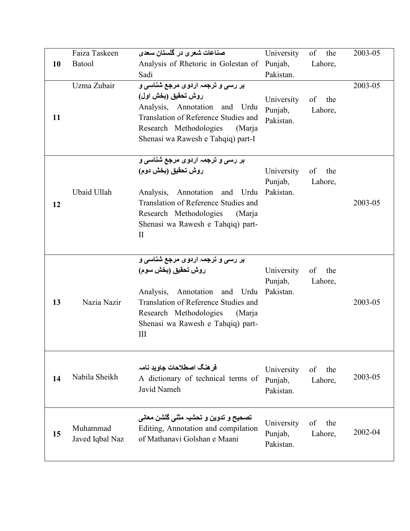|    | Faiza Taskeen               | صناعات شعری در گلستان سعدی                                                                                                                                                                                                       | University                         | of the               | 2003-05 |
|----|-----------------------------|----------------------------------------------------------------------------------------------------------------------------------------------------------------------------------------------------------------------------------|------------------------------------|----------------------|---------|
| 10 | Batool                      | Analysis of Rhetoric in Golestan of                                                                                                                                                                                              | Punjab,                            | Lahore,              |         |
|    |                             | Sadi                                                                                                                                                                                                                             | Pakistan.                          |                      |         |
| 11 | Uzma Zubair                 | بر رسی و ترجمہ اردوی مرجع شناسی و<br>روش تحقيق (بخش اول)<br>Analysis, Annotation and Urdu<br>Translation of Reference Studies and<br>Research Methodologies<br>(Marja<br>Shenasi wa Rawesh e Tahqiq) part-I                      | University<br>Punjab,<br>Pakistan. | of the<br>Lahore,    | 2003-05 |
| 12 | Ubaid Ullah                 | بر رسی و ترجمہ اردوی مرجع شناسی و<br>روش تحقيق (بخش دوم)<br>Analysis,<br>Annotation<br>and Urdu<br>Translation of Reference Studies and<br>Research Methodologies<br>(Marja<br>Shenasi wa Rawesh e Tahqiq) part-<br>$\mathbf{I}$ | University<br>Punjab,<br>Pakistan. | of<br>the<br>Lahore, | 2003-05 |
| 13 | Nazia Nazir                 | بر رسی و ترجمہ اردوی مرجع شناسی و<br>روش تحقيق (بخش سوم)<br>Annotation and Urdu<br>Analysis,<br>Translation of Reference Studies and<br>Research Methodologies<br>(Marja<br>Shenasi wa Rawesh e Tahqiq) part-<br>Ш               | University<br>Punjab,<br>Pakistan. | of<br>the<br>Lahore, | 2003-05 |
| 14 | Nabila Sheikh               | فر هنگ اصطلاحات جاوید نامہ<br>A dictionary of technical terms of<br>Javid Nameh                                                                                                                                                  | University<br>Punjab,<br>Pakistan. | of<br>the<br>Lahore, | 2003-05 |
| 15 | Muhammad<br>Javed Iqbal Naz | تصحيح و تدوين و تحشيہ مثنى گلشن معانى<br>Editing, Annotation and compilation<br>of Mathanavi Golshan e Maani                                                                                                                     | University<br>Punjab,<br>Pakistan. | of<br>the<br>Lahore, | 2002-04 |